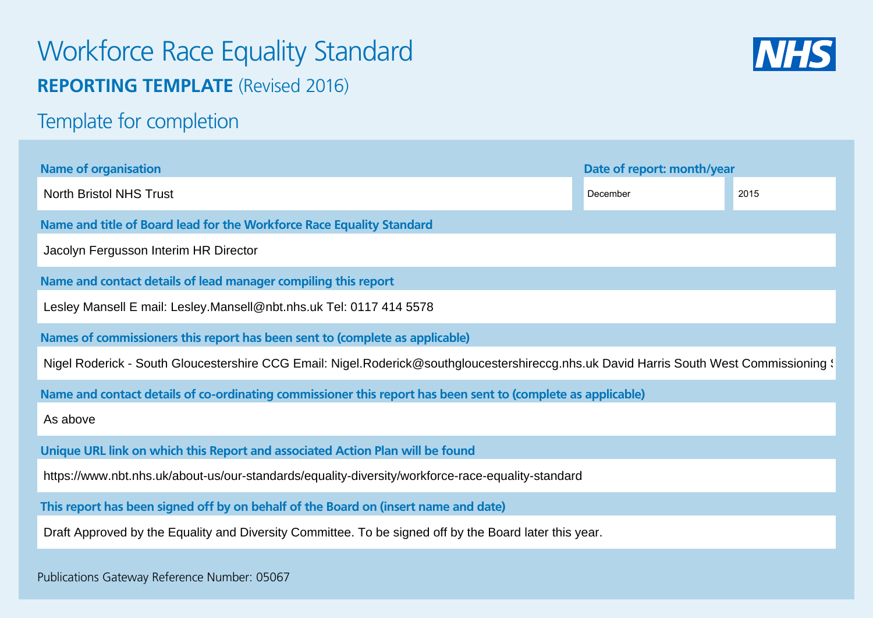# Workforce Race Equality Standard **REPORTING TEMPLATE** (Revised 2016)



Template for completion

| <b>Name of organisation</b>                                                                                                             | Date of report: month/year |      |  |  |  |  |  |
|-----------------------------------------------------------------------------------------------------------------------------------------|----------------------------|------|--|--|--|--|--|
| <b>North Bristol NHS Trust</b>                                                                                                          | December                   | 2015 |  |  |  |  |  |
| Name and title of Board lead for the Workforce Race Equality Standard                                                                   |                            |      |  |  |  |  |  |
| Jacolyn Fergusson Interim HR Director                                                                                                   |                            |      |  |  |  |  |  |
| Name and contact details of lead manager compiling this report                                                                          |                            |      |  |  |  |  |  |
| Lesley Mansell E mail: Lesley.Mansell@nbt.nhs.uk Tel: 0117 414 5578                                                                     |                            |      |  |  |  |  |  |
| Names of commissioners this report has been sent to (complete as applicable)                                                            |                            |      |  |  |  |  |  |
| Nigel Roderick - South Gloucestershire CCG Email: Nigel.Roderick@southgloucestershireccg.nhs.uk David Harris South West Commissioning \ |                            |      |  |  |  |  |  |
| Name and contact details of co-ordinating commissioner this report has been sent to (complete as applicable)                            |                            |      |  |  |  |  |  |
| As above                                                                                                                                |                            |      |  |  |  |  |  |
| Unique URL link on which this Report and associated Action Plan will be found                                                           |                            |      |  |  |  |  |  |
| https://www.nbt.nhs.uk/about-us/our-standards/equality-diversity/workforce-race-equality-standard                                       |                            |      |  |  |  |  |  |
| This report has been signed off by on behalf of the Board on (insert name and date)                                                     |                            |      |  |  |  |  |  |
| Draft Approved by the Equality and Diversity Committee. To be signed off by the Board later this year.                                  |                            |      |  |  |  |  |  |
|                                                                                                                                         |                            |      |  |  |  |  |  |

Publications Gateway Reference Number: 05067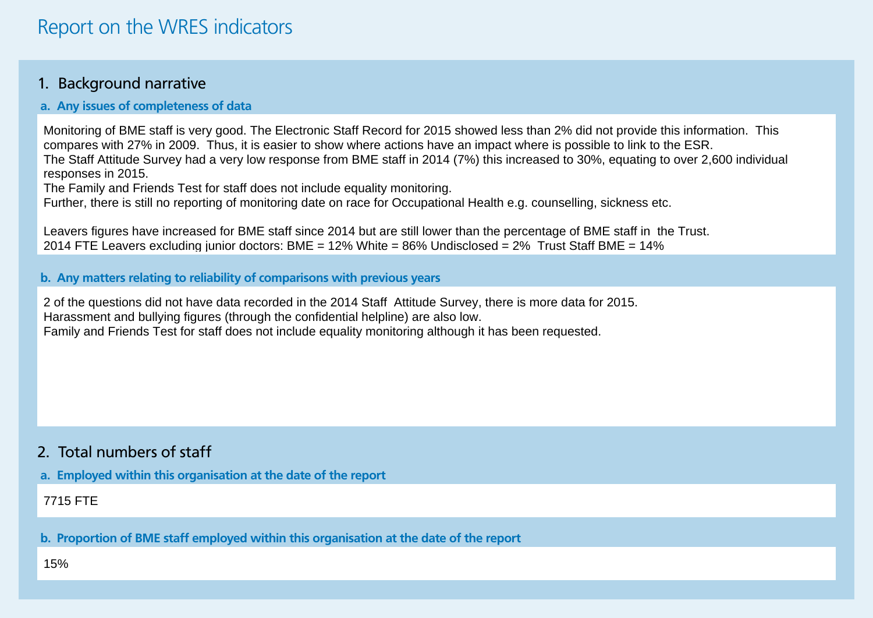### 1. Background narrative

#### **a. Any issues of completeness of data**

Monitoring of BME staff is very good. The Electronic Staff Record for 2015 showed less than 2% did not provide this information. This compares with 27% in 2009. Thus, it is easier to show where actions have an impact where is possible to link to the ESR. The Staff Attitude Survey had a very low response from BME staff in 2014 (7%) this increased to 30%, equating to over 2,600 individual responses in 2015.

The Family and Friends Test for staff does not include equality monitoring.

Further, there is still no reporting of monitoring date on race for Occupational Health e.g. counselling, sickness etc.

Leavers figures have increased for BME staff since 2014 but are still lower than the percentage of BME staff in the Trust. 2014 FTE Leavers excluding junior doctors: BME = 12% White = 86% Undisclosed = 2% Trust Staff BME = 14%

**b. Any matters relating to reliability of comparisons with previous years**

2 of the questions did not have data recorded in the 2014 Staff Attitude Survey, there is more data for 2015. Harassment and bullying figures (through the confidential helpline) are also low. Family and Friends Test for staff does not include equality monitoring although it has been requested.

## 2. Total numbers of staff

**a. Employed within this organisation at the date of the report**

7715 FTE

**b. Proportion of BME staff employed within this organisation at the date of the report**

15%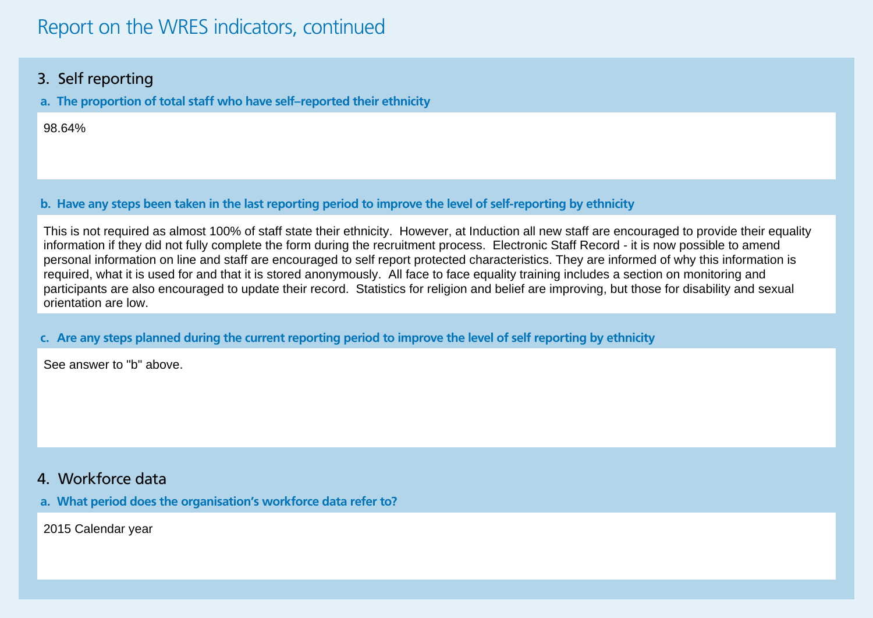## Report on the WRES indicators, continued

### 3. Self reporting

**a. The proportion of total staff who have self–reported their ethnicity**

98.64%

**b. Have any steps been taken in the last reporting period to improve the level of self-reporting by ethnicity**

This is not required as almost 100% of staff state their ethnicity. However, at Induction all new staff are encouraged to provide their equality information if they did not fully complete the form during the recruitment process. Electronic Staff Record - it is now possible to amend personal information on line and staff are encouraged to self report protected characteristics. They are informed of why this information is required, what it is used for and that it is stored anonymously. All face to face equality training includes a section on monitoring and participants are also encouraged to update their record. Statistics for religion and belief are improving, but those for disability and sexual orientation are low.

#### **c. Are any steps planned during the current reporting period to improve the level of self reporting by ethnicity**

See answer to "b" above.

### 4. Workforce data

**a. What period does the organisation's workforce data refer to?**

2015 Calendar year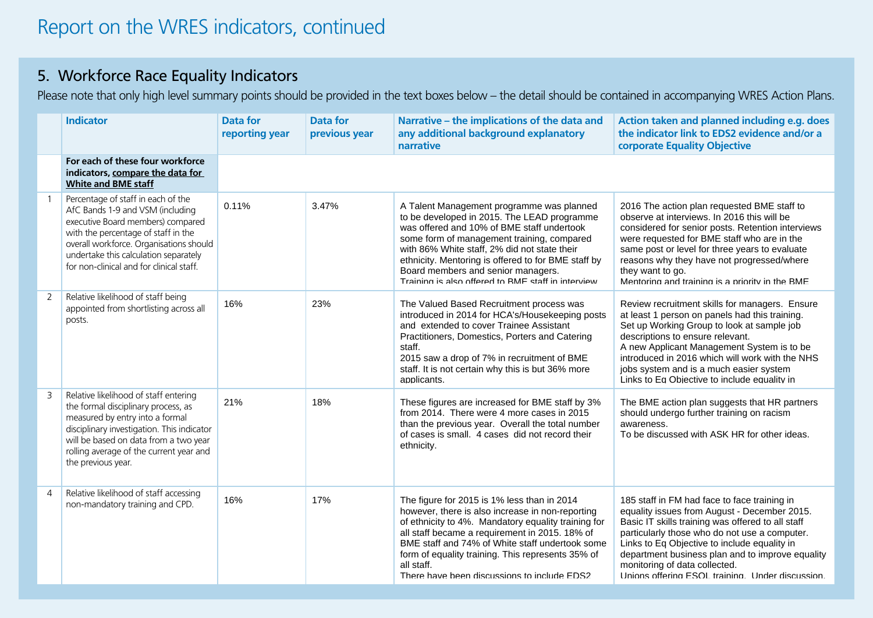## 5. Workforce Race Equality Indicators

Please note that only high level summary points should be provided in the text boxes below – the detail should be contained in accompanying WRES Action Plans.

|                | <b>Indicator</b>                                                                                                                                                                                                                                                                   | <b>Data for</b><br>reporting year | <b>Data for</b><br>previous year | Narrative - the implications of the data and<br>any additional background explanatory<br>narrative                                                                                                                                                                                                                                                                                      | Action taken and planned including e.g. does<br>the indicator link to EDS2 evidence and/or a<br>corporate Equality Objective                                                                                                                                                                                                                                                              |
|----------------|------------------------------------------------------------------------------------------------------------------------------------------------------------------------------------------------------------------------------------------------------------------------------------|-----------------------------------|----------------------------------|-----------------------------------------------------------------------------------------------------------------------------------------------------------------------------------------------------------------------------------------------------------------------------------------------------------------------------------------------------------------------------------------|-------------------------------------------------------------------------------------------------------------------------------------------------------------------------------------------------------------------------------------------------------------------------------------------------------------------------------------------------------------------------------------------|
|                | For each of these four workforce<br>indicators, compare the data for<br><b>White and BME staff</b>                                                                                                                                                                                 |                                   |                                  |                                                                                                                                                                                                                                                                                                                                                                                         |                                                                                                                                                                                                                                                                                                                                                                                           |
|                | Percentage of staff in each of the<br>AfC Bands 1-9 and VSM (including<br>executive Board members) compared<br>with the percentage of staff in the<br>overall workforce. Organisations should<br>undertake this calculation separately<br>for non-clinical and for clinical staff. | 0.11%                             | 3.47%                            | A Talent Management programme was planned<br>to be developed in 2015. The LEAD programme<br>was offered and 10% of BME staff undertook<br>some form of management training, compared<br>with 86% White staff, 2% did not state their<br>ethnicity. Mentoring is offered to for BME staff by<br>Board members and senior managers.<br>Training is also offered to RMF staff in interview | 2016 The action plan requested BME staff to<br>observe at interviews. In 2016 this will be<br>considered for senior posts. Retention interviews<br>were requested for BME staff who are in the<br>same post or level for three years to evaluate<br>reasons why they have not progressed/where<br>they want to go.<br>Mentoring and training is a priority in the BME                     |
| 2              | Relative likelihood of staff being<br>appointed from shortlisting across all<br>posts.                                                                                                                                                                                             | 16%                               | 23%                              | The Valued Based Recruitment process was<br>introduced in 2014 for HCA's/Housekeeping posts<br>and extended to cover Trainee Assistant<br>Practitioners, Domestics, Porters and Catering<br>staff.<br>2015 saw a drop of 7% in recruitment of BME<br>staff. It is not certain why this is but 36% more<br>applicants.                                                                   | Review recruitment skills for managers. Ensure<br>at least 1 person on panels had this training.<br>Set up Working Group to look at sample job<br>descriptions to ensure relevant.<br>A new Applicant Management System is to be<br>introduced in 2016 which will work with the NHS<br>jobs system and is a much easier system<br>Links to Eq Objective to include equality in            |
| 3              | Relative likelihood of staff entering<br>the formal disciplinary process, as<br>measured by entry into a formal<br>disciplinary investigation. This indicator<br>will be based on data from a two year<br>rolling average of the current year and<br>the previous year.            | 21%                               | 18%                              | These figures are increased for BME staff by 3%<br>from 2014. There were 4 more cases in 2015<br>than the previous year. Overall the total number<br>of cases is small. 4 cases did not record their<br>ethnicity.                                                                                                                                                                      | The BME action plan suggests that HR partners<br>should undergo further training on racism<br>awareness.<br>To be discussed with ASK HR for other ideas.                                                                                                                                                                                                                                  |
| $\overline{4}$ | Relative likelihood of staff accessing<br>non-mandatory training and CPD.                                                                                                                                                                                                          | 16%                               | 17%                              | The figure for 2015 is 1% less than in 2014<br>however, there is also increase in non-reporting<br>of ethnicity to 4%. Mandatory equality training for<br>all staff became a requirement in 2015. 18% of<br>BME staff and 74% of White staff undertook some<br>form of equality training. This represents 35% of<br>all staff.<br>There have been discussions to include EDS2           | 185 staff in FM had face to face training in<br>equality issues from August - December 2015.<br>Basic IT skills training was offered to all staff<br>particularly those who do not use a computer.<br>Links to Eq Objective to include equality in<br>department business plan and to improve equality<br>monitoring of data collected.<br>Unions offering ESOL training Under discussion |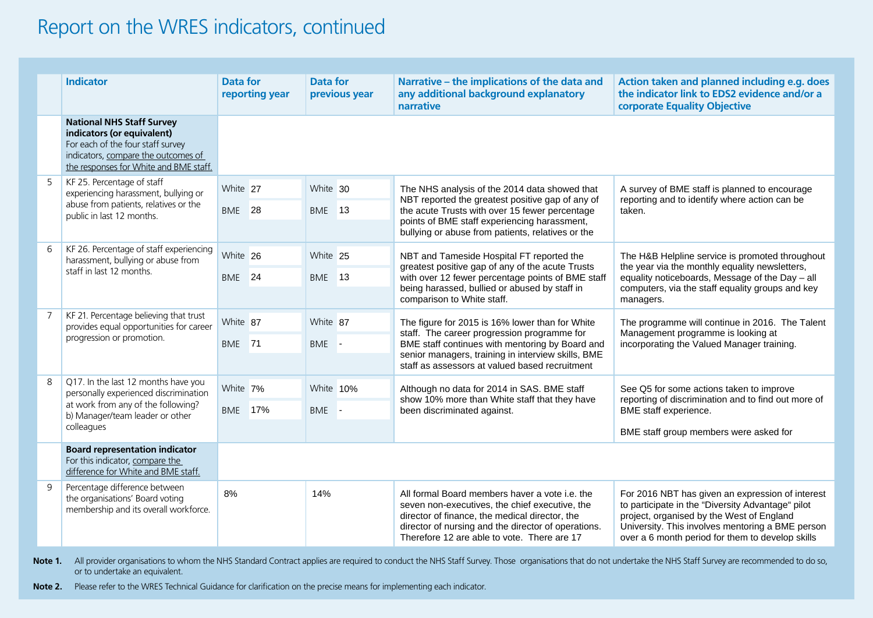## Report on the WRES indicators, continued

|                | <b>Indicator</b>                                                                                                                                                                     | <b>Data for</b>               | reporting year | <b>Data for</b><br>previous year | Narrative - the implications of the data and<br>any additional background explanatory<br>narrative                                                                                                                                                        | Action taken and planned including e.g. does<br>the indicator link to EDS2 evidence and/or a<br>corporate Equality Objective                                                                                                                               |
|----------------|--------------------------------------------------------------------------------------------------------------------------------------------------------------------------------------|-------------------------------|----------------|----------------------------------|-----------------------------------------------------------------------------------------------------------------------------------------------------------------------------------------------------------------------------------------------------------|------------------------------------------------------------------------------------------------------------------------------------------------------------------------------------------------------------------------------------------------------------|
|                | <b>National NHS Staff Survey</b><br>indicators (or equivalent)<br>For each of the four staff survey<br>indicators, compare the outcomes of<br>the responses for White and BME staff. |                               |                |                                  |                                                                                                                                                                                                                                                           |                                                                                                                                                                                                                                                            |
| 5              | KF 25. Percentage of staff<br>experiencing harassment, bullying or<br>abuse from patients, relatives or the<br>public in last 12 months.                                             | White 27                      |                | White 30                         | The NHS analysis of the 2014 data showed that                                                                                                                                                                                                             | A survey of BME staff is planned to encourage<br>reporting and to identify where action can be<br>taken.                                                                                                                                                   |
|                |                                                                                                                                                                                      | <b>BME</b> 28                 |                | <b>BME</b> 13                    | NBT reported the greatest positive gap of any of<br>the acute Trusts with over 15 fewer percentage<br>points of BME staff experiencing harassment,<br>bullying or abuse from patients, relatives or the                                                   |                                                                                                                                                                                                                                                            |
|                |                                                                                                                                                                                      |                               |                |                                  |                                                                                                                                                                                                                                                           |                                                                                                                                                                                                                                                            |
| 6              | KF 26. Percentage of staff experiencing<br>harassment, bullying or abuse from<br>staff in last 12 months.                                                                            | White 26<br>BME <sub>24</sub> |                | White 25                         | NBT and Tameside Hospital FT reported the<br>greatest positive gap of any of the acute Trusts<br>with over 12 fewer percentage points of BME staff<br>being harassed, bullied or abused by staff in<br>comparison to White staff.                         | The H&B Helpline service is promoted throughout<br>the year via the monthly equality newsletters,<br>equality noticeboards, Message of the Day - all<br>computers, via the staff equality groups and key<br>managers.                                      |
|                |                                                                                                                                                                                      |                               |                | <b>BME</b> 13                    |                                                                                                                                                                                                                                                           |                                                                                                                                                                                                                                                            |
|                |                                                                                                                                                                                      |                               |                |                                  |                                                                                                                                                                                                                                                           |                                                                                                                                                                                                                                                            |
| $\overline{7}$ | KF 21. Percentage believing that trust<br>provides equal opportunities for career<br>progression or promotion.                                                                       | White 87<br>BME 71            |                | White 87                         | The figure for 2015 is 16% lower than for White<br>staff. The career progression programme for<br>BME staff continues with mentoring by Board and<br>senior managers, training in interview skills, BME<br>staff as assessors at valued based recruitment | The programme will continue in 2016. The Talent<br>Management programme is looking at<br>incorporating the Valued Manager training.                                                                                                                        |
|                |                                                                                                                                                                                      |                               |                | BME -                            |                                                                                                                                                                                                                                                           |                                                                                                                                                                                                                                                            |
|                |                                                                                                                                                                                      |                               |                |                                  |                                                                                                                                                                                                                                                           |                                                                                                                                                                                                                                                            |
| 8              | Q17. In the last 12 months have you<br>personally experienced discrimination<br>at work from any of the following?<br>b) Manager/team leader or other<br>colleagues                  | White 7%                      |                | White 10%                        | Although no data for 2014 in SAS. BME staff<br>show 10% more than White staff that they have<br>been discriminated against.                                                                                                                               | See Q5 for some actions taken to improve<br>reporting of discrimination and to find out more of<br>BME staff experience.                                                                                                                                   |
|                |                                                                                                                                                                                      | <b>BME</b> 17%                |                | BME -                            |                                                                                                                                                                                                                                                           |                                                                                                                                                                                                                                                            |
|                |                                                                                                                                                                                      |                               |                |                                  |                                                                                                                                                                                                                                                           | BME staff group members were asked for                                                                                                                                                                                                                     |
|                | <b>Board representation indicator</b><br>For this indicator, compare the<br>difference for White and BME staff.                                                                      |                               |                |                                  |                                                                                                                                                                                                                                                           |                                                                                                                                                                                                                                                            |
| 9              | Percentage difference between<br>the organisations' Board voting<br>membership and its overall workforce.                                                                            | 8%                            |                | 14%                              | All formal Board members haver a vote i.e. the<br>seven non-executives, the chief executive, the<br>director of finance, the medical director, the<br>director of nursing and the director of operations.<br>Therefore 12 are able to vote. There are 17  | For 2016 NBT has given an expression of interest<br>to participate in the "Diversity Advantage" pilot<br>project, organised by the West of England<br>University. This involves mentoring a BME person<br>over a 6 month period for them to develop skills |

Note 1. All provider organisations to whom the NHS Standard Contract applies are required to conduct the NHS Staff Survey. Those organisations that do not undertake the NHS Staff Survey are recommended to do so, or to undertake an equivalent. luct the NHS Staff Survey. Those organisations that do not undertake the NHS Staff Survey are recommended to d In December 2015 the Board undertook training mentor. The Board will look to identify executive

**Note 2.** Please refer to the WRES Technical Guidance for clarification on the precise means for implementing each indicator.  $\mathcal{L}$  is a since  $\mathcal{L}$  and  $\mathcal{L}$  and  $\mathcal{L}$  and  $\mathcal{L}$  and  $\mathcal{L}$  and  $\mathcal{L}$  and  $\mathcal{L}$  and  $\mathcal{L}$  and  $\mathcal{L}$  and  $\mathcal{L}$  and  $\mathcal{L}$  and  $\mathcal{L}$  and  $\mathcal{L}$  and  $\mathcal{L}$  and  $\mathcal{L}$  and  $\mathcal{L$ on the WRES, why this had been set up and the performance of the NHS nationally, the NHS nationally, the NHS nationally, the NHS nationally, the NHS nationally, the NHS nationally, the NHS nationally, the NHS nationally, the NHS nationally, the NHS nationally, the NHS